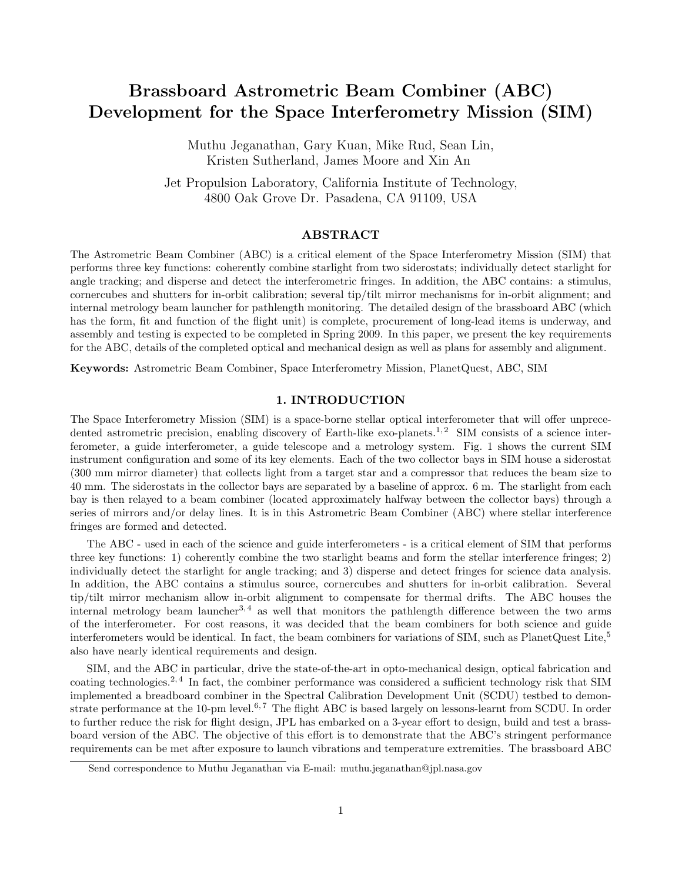# Brassboard Astrometric Beam Combiner (ABC) Development for the Space Interferometry Mission (SIM)

Muthu Jeganathan, Gary Kuan, Mike Rud, Sean Lin, Kristen Sutherland, James Moore and Xin An

Jet Propulsion Laboratory, California Institute of Technology, 4800 Oak Grove Dr. Pasadena, CA 91109, USA

# ABSTRACT

The Astrometric Beam Combiner (ABC) is a critical element of the Space Interferometry Mission (SIM) that performs three key functions: coherently combine starlight from two siderostats; individually detect starlight for angle tracking; and disperse and detect the interferometric fringes. In addition, the ABC contains: a stimulus, cornercubes and shutters for in-orbit calibration; several tip/tilt mirror mechanisms for in-orbit alignment; and internal metrology beam launcher for pathlength monitoring. The detailed design of the brassboard ABC (which has the form, fit and function of the flight unit) is complete, procurement of long-lead items is underway, and assembly and testing is expected to be completed in Spring 2009. In this paper, we present the key requirements for the ABC, details of the completed optical and mechanical design as well as plans for assembly and alignment.

Keywords: Astrometric Beam Combiner, Space Interferometry Mission, PlanetQuest, ABC, SIM

# 1. INTRODUCTION

The Space Interferometry Mission (SIM) is a space-borne stellar optical interferometer that will offer unprecedented astrometric precision, enabling discovery of Earth-like exo-planets.<sup>1,2</sup> SIM consists of a science interferometer, a guide interferometer, a guide telescope and a metrology system. Fig. 1 shows the current SIM instrument configuration and some of its key elements. Each of the two collector bays in SIM house a siderostat (300 mm mirror diameter) that collects light from a target star and a compressor that reduces the beam size to 40 mm. The siderostats in the collector bays are separated by a baseline of approx. 6 m. The starlight from each bay is then relayed to a beam combiner (located approximately halfway between the collector bays) through a series of mirrors and/or delay lines. It is in this Astrometric Beam Combiner (ABC) where stellar interference fringes are formed and detected.

The ABC - used in each of the science and guide interferometers - is a critical element of SIM that performs three key functions: 1) coherently combine the two starlight beams and form the stellar interference fringes; 2) individually detect the starlight for angle tracking; and 3) disperse and detect fringes for science data analysis. In addition, the ABC contains a stimulus source, cornercubes and shutters for in-orbit calibration. Several tip/tilt mirror mechanism allow in-orbit alignment to compensate for thermal drifts. The ABC houses the internal metrology beam launcher<sup>3,4</sup> as well that monitors the pathlength difference between the two arms of the interferometer. For cost reasons, it was decided that the beam combiners for both science and guide interferometers would be identical. In fact, the beam combiners for variations of SIM, such as PlanetQuest Lite,<sup>5</sup> also have nearly identical requirements and design.

SIM, and the ABC in particular, drive the state-of-the-art in opto-mechanical design, optical fabrication and coating technologies.<sup>2,4</sup> In fact, the combiner performance was considered a sufficient technology risk that SIM implemented a breadboard combiner in the Spectral Calibration Development Unit (SCDU) testbed to demonstrate performance at the 10-pm level.<sup>6,7</sup> The flight ABC is based largely on lessons-learnt from SCDU. In order to further reduce the risk for flight design, JPL has embarked on a 3-year effort to design, build and test a brassboard version of the ABC. The objective of this effort is to demonstrate that the ABC's stringent performance requirements can be met after exposure to launch vibrations and temperature extremities. The brassboard ABC

Send correspondence to Muthu Jeganathan via E-mail: muthu.jeganathan@jpl.nasa.gov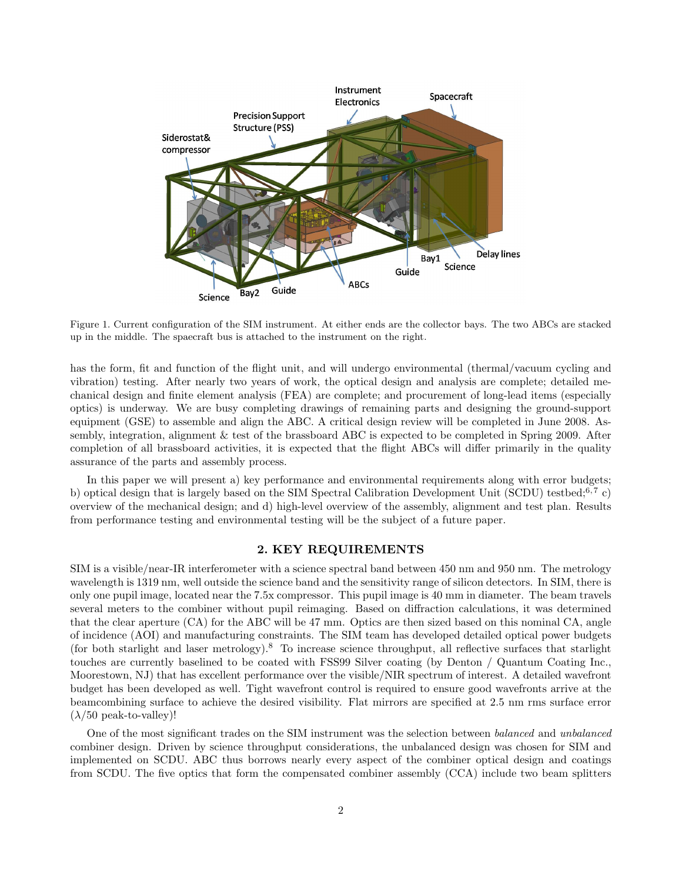

Figure 1. Current configuration of the SIM instrument. At either ends are the collector bays. The two ABCs are stacked up in the middle. The spaecraft bus is attached to the instrument on the right.

has the form, fit and function of the flight unit, and will undergo environmental (thermal/vacuum cycling and vibration) testing. After nearly two years of work, the optical design and analysis are complete; detailed mechanical design and finite element analysis (FEA) are complete; and procurement of long-lead items (especially optics) is underway. We are busy completing drawings of remaining parts and designing the ground-support equipment (GSE) to assemble and align the ABC. A critical design review will be completed in June 2008. Assembly, integration, alignment & test of the brassboard ABC is expected to be completed in Spring 2009. After completion of all brassboard activities, it is expected that the flight ABCs will differ primarily in the quality assurance of the parts and assembly process.

In this paper we will present a) key performance and environmental requirements along with error budgets; b) optical design that is largely based on the SIM Spectral Calibration Development Unit (SCDU) testbed;<sup>6,7</sup> c) overview of the mechanical design; and d) high-level overview of the assembly, alignment and test plan. Results from performance testing and environmental testing will be the subject of a future paper.

## 2. KEY REQUIREMENTS

SIM is a visible/near-IR interferometer with a science spectral band between 450 nm and 950 nm. The metrology wavelength is 1319 nm, well outside the science band and the sensitivity range of silicon detectors. In SIM, there is only one pupil image, located near the 7.5x compressor. This pupil image is 40 mm in diameter. The beam travels several meters to the combiner without pupil reimaging. Based on diffraction calculations, it was determined that the clear aperture (CA) for the ABC will be 47 mm. Optics are then sized based on this nominal CA, angle of incidence (AOI) and manufacturing constraints. The SIM team has developed detailed optical power budgets (for both starlight and laser metrology).<sup>8</sup> To increase science throughput, all reflective surfaces that starlight touches are currently baselined to be coated with FSS99 Silver coating (by Denton / Quantum Coating Inc., Moorestown, NJ) that has excellent performance over the visible/NIR spectrum of interest. A detailed wavefront budget has been developed as well. Tight wavefront control is required to ensure good wavefronts arrive at the beamcombining surface to achieve the desired visibility. Flat mirrors are specified at 2.5 nm rms surface error  $(\lambda/50 \text{ peak-to-valuev})!$ 

One of the most significant trades on the SIM instrument was the selection between balanced and unbalanced combiner design. Driven by science throughput considerations, the unbalanced design was chosen for SIM and implemented on SCDU. ABC thus borrows nearly every aspect of the combiner optical design and coatings from SCDU. The five optics that form the compensated combiner assembly (CCA) include two beam splitters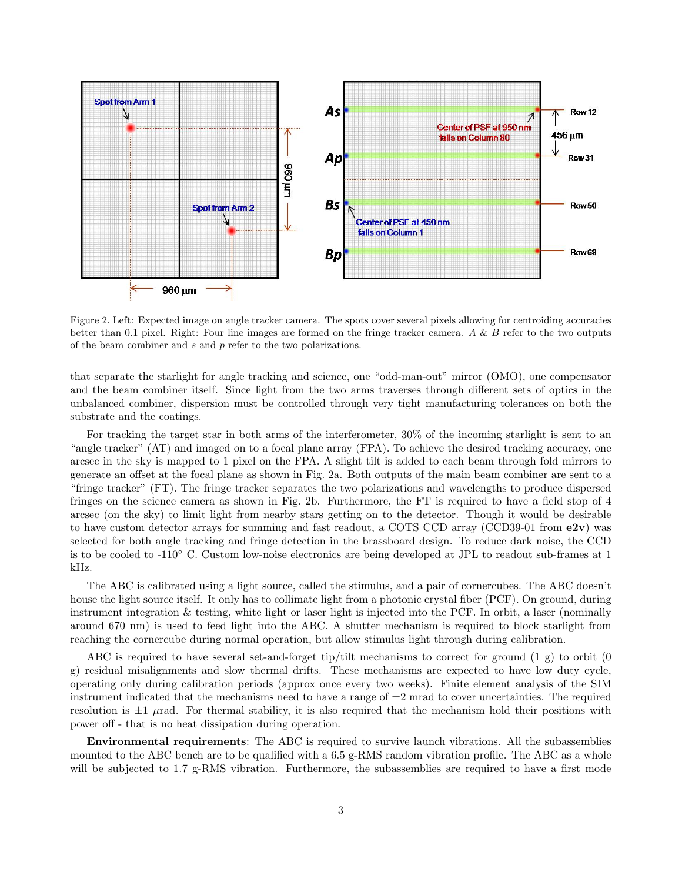

Figure 2. Left: Expected image on angle tracker camera. The spots cover several pixels allowing for centroiding accuracies better than 0.1 pixel. Right: Four line images are formed on the fringe tracker camera. A & B refer to the two outputs of the beam combiner and  $s$  and  $p$  refer to the two polarizations.

that separate the starlight for angle tracking and science, one "odd-man-out" mirror (OMO), one compensator and the beam combiner itself. Since light from the two arms traverses through different sets of optics in the unbalanced combiner, dispersion must be controlled through very tight manufacturing tolerances on both the substrate and the coatings.

For tracking the target star in both arms of the interferometer, 30% of the incoming starlight is sent to an "angle tracker" (AT) and imaged on to a focal plane array (FPA). To achieve the desired tracking accuracy, one arcsec in the sky is mapped to 1 pixel on the FPA. A slight tilt is added to each beam through fold mirrors to generate an offset at the focal plane as shown in Fig. 2a. Both outputs of the main beam combiner are sent to a "fringe tracker" (FT). The fringe tracker separates the two polarizations and wavelengths to produce dispersed fringes on the science camera as shown in Fig. 2b. Furthermore, the FT is required to have a field stop of 4 arcsec (on the sky) to limit light from nearby stars getting on to the detector. Though it would be desirable to have custom detector arrays for summing and fast readout, a COTS CCD array (CCD39-01 from  $e2v$ ) was selected for both angle tracking and fringe detection in the brassboard design. To reduce dark noise, the CCD is to be cooled to -110◦ C. Custom low-noise electronics are being developed at JPL to readout sub-frames at 1 kHz.

The ABC is calibrated using a light source, called the stimulus, and a pair of cornercubes. The ABC doesn't house the light source itself. It only has to collimate light from a photonic crystal fiber (PCF). On ground, during instrument integration & testing, white light or laser light is injected into the PCF. In orbit, a laser (nominally around 670 nm) is used to feed light into the ABC. A shutter mechanism is required to block starlight from reaching the cornercube during normal operation, but allow stimulus light through during calibration.

ABC is required to have several set-and-forget tip/tilt mechanisms to correct for ground  $(1 g)$  to orbit  $(0$ g) residual misalignments and slow thermal drifts. These mechanisms are expected to have low duty cycle, operating only during calibration periods (approx once every two weeks). Finite element analysis of the SIM instrument indicated that the mechanisms need to have a range of  $\pm 2$  mrad to cover uncertainties. The required resolution is  $\pm 1$   $\mu$ rad. For thermal stability, it is also required that the mechanism hold their positions with power off - that is no heat dissipation during operation.

Environmental requirements: The ABC is required to survive launch vibrations. All the subassemblies mounted to the ABC bench are to be qualified with a 6.5 g-RMS random vibration profile. The ABC as a whole will be subjected to 1.7 g-RMS vibration. Furthermore, the subassemblies are required to have a first mode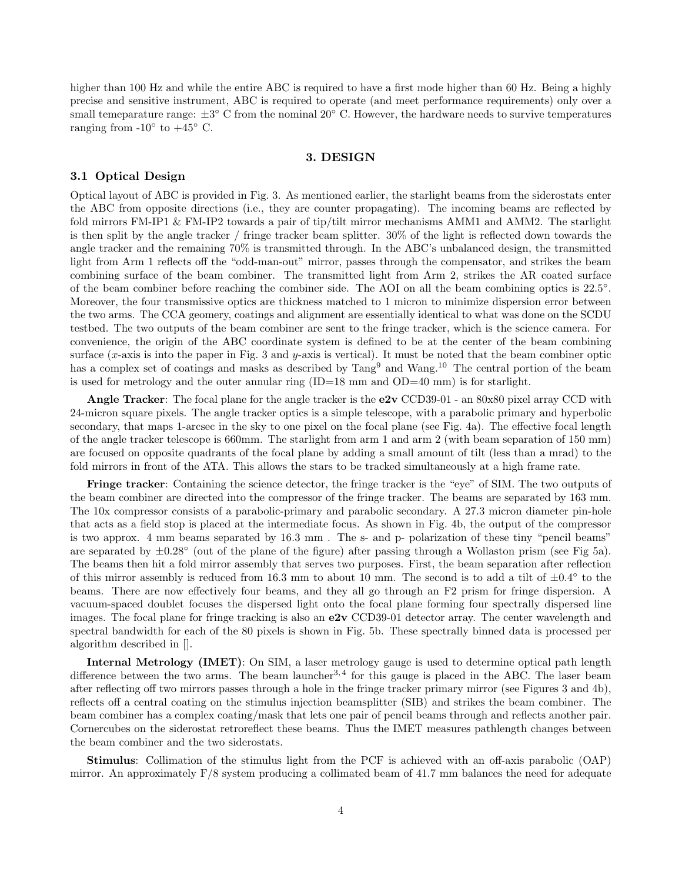higher than 100 Hz and while the entire ABC is required to have a first mode higher than 60 Hz. Being a highly precise and sensitive instrument, ABC is required to operate (and meet performance requirements) only over a small temeparature range:  $\pm 3^{\circ}$  C from the nominal  $20^{\circ}$  C. However, the hardware needs to survive temperatures ranging from  $-10^{\circ}$  to  $+45^{\circ}$  C.

#### 3. DESIGN

# 3.1 Optical Design

Optical layout of ABC is provided in Fig. 3. As mentioned earlier, the starlight beams from the siderostats enter the ABC from opposite directions (i.e., they are counter propagating). The incoming beams are reflected by fold mirrors FM-IP1 & FM-IP2 towards a pair of tip/tilt mirror mechanisms AMM1 and AMM2. The starlight is then split by the angle tracker / fringe tracker beam splitter. 30% of the light is reflected down towards the angle tracker and the remaining 70% is transmitted through. In the ABC's unbalanced design, the transmitted light from Arm 1 reflects off the "odd-man-out" mirror, passes through the compensator, and strikes the beam combining surface of the beam combiner. The transmitted light from Arm 2, strikes the AR coated surface of the beam combiner before reaching the combiner side. The AOI on all the beam combining optics is 22.5°. Moreover, the four transmissive optics are thickness matched to 1 micron to minimize dispersion error between the two arms. The CCA geomery, coatings and alignment are essentially identical to what was done on the SCDU testbed. The two outputs of the beam combiner are sent to the fringe tracker, which is the science camera. For convenience, the origin of the ABC coordinate system is defined to be at the center of the beam combining surface  $(x)$ -axis is into the paper in Fig. 3 and  $y$ -axis is vertical). It must be noted that the beam combiner optic has a complex set of coatings and masks as described by Tang<sup>9</sup> and Wang.<sup>10</sup> The central portion of the beam is used for metrology and the outer annular ring  $(ID=18 \text{ mm and } OD=40 \text{ mm})$  is for starlight.

Angle Tracker: The focal plane for the angle tracker is the e2v CCD39-01 - an 80x80 pixel array CCD with 24-micron square pixels. The angle tracker optics is a simple telescope, with a parabolic primary and hyperbolic secondary, that maps 1-arcsec in the sky to one pixel on the focal plane (see Fig. 4a). The effective focal length of the angle tracker telescope is 660mm. The starlight from arm 1 and arm 2 (with beam separation of 150 mm) are focused on opposite quadrants of the focal plane by adding a small amount of tilt (less than a mrad) to the fold mirrors in front of the ATA. This allows the stars to be tracked simultaneously at a high frame rate.

Fringe tracker: Containing the science detector, the fringe tracker is the "eye" of SIM. The two outputs of the beam combiner are directed into the compressor of the fringe tracker. The beams are separated by 163 mm. The 10x compressor consists of a parabolic-primary and parabolic secondary. A 27.3 micron diameter pin-hole that acts as a field stop is placed at the intermediate focus. As shown in Fig. 4b, the output of the compressor is two approx. 4 mm beams separated by 16.3 mm . The s- and p- polarization of these tiny "pencil beams" are separated by  $\pm 0.28°$  (out of the plane of the figure) after passing through a Wollaston prism (see Fig 5a). The beams then hit a fold mirror assembly that serves two purposes. First, the beam separation after reflection of this mirror assembly is reduced from 16.3 mm to about 10 mm. The second is to add a tilt of  $\pm 0.4^{\circ}$  to the beams. There are now effectively four beams, and they all go through an F2 prism for fringe dispersion. A vacuum-spaced doublet focuses the dispersed light onto the focal plane forming four spectrally dispersed line images. The focal plane for fringe tracking is also an e2v CCD39-01 detector array. The center wavelength and spectral bandwidth for each of the 80 pixels is shown in Fig. 5b. These spectrally binned data is processed per algorithm described in [].

Internal Metrology (IMET): On SIM, a laser metrology gauge is used to determine optical path length difference between the two arms. The beam launcher<sup>3,4</sup> for this gauge is placed in the ABC. The laser beam after reflecting off two mirrors passes through a hole in the fringe tracker primary mirror (see Figures 3 and 4b), reflects off a central coating on the stimulus injection beamsplitter (SIB) and strikes the beam combiner. The beam combiner has a complex coating/mask that lets one pair of pencil beams through and reflects another pair. Cornercubes on the siderostat retroreflect these beams. Thus the IMET measures pathlength changes between the beam combiner and the two siderostats.

Stimulus: Collimation of the stimulus light from the PCF is achieved with an off-axis parabolic (OAP) mirror. An approximately F/8 system producing a collimated beam of 41.7 mm balances the need for adequate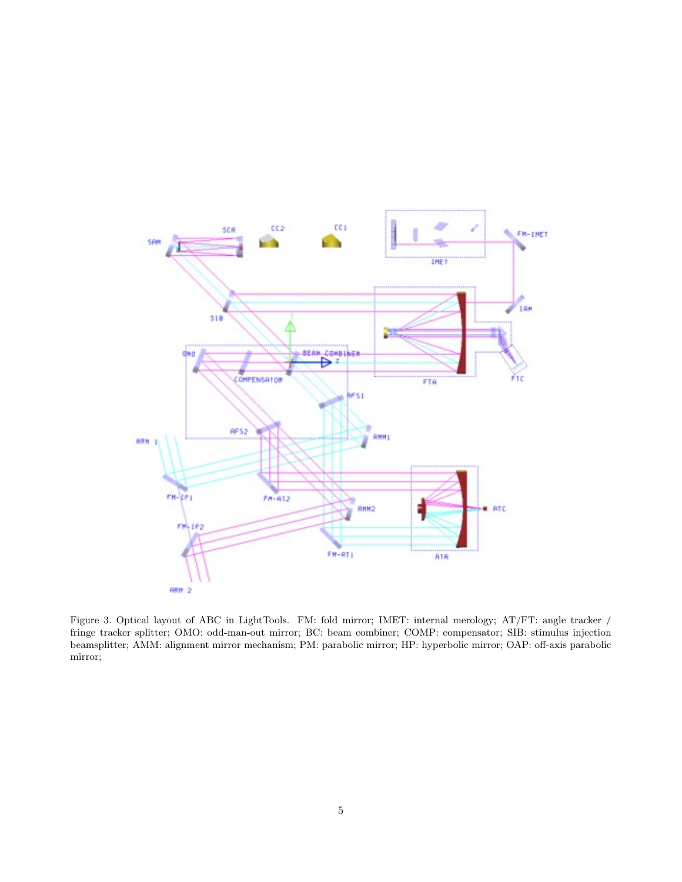

Figure 3. Optical layout of ABC in LightTools. FM: fold mirror; IMET: internal merology; AT/FT: angle tracker / fringe tracker splitter; OMO: odd-man-out mirror; BC: beam combiner; COMP: compensator; SIB: stimulus injection beamsplitter; AMM: alignment mirror mechanism; PM: parabolic mirror; HP: hyperbolic mirror; OAP: off-axis parabolic mirror;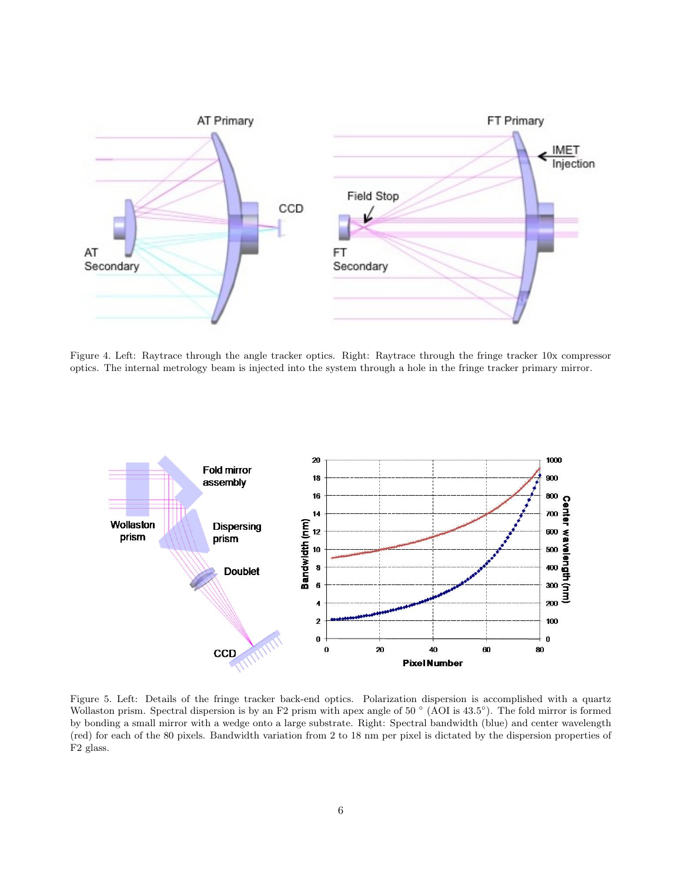

Figure 4. Left: Raytrace through the angle tracker optics. Right: Raytrace through the fringe tracker 10x compressor optics. The internal metrology beam is injected into the system through a hole in the fringe tracker primary mirror.



Figure 5. Left: Details of the fringe tracker back-end optics. Polarization dispersion is accomplished with a quartz Wollaston prism. Spectral dispersion is by an F2 prism with apex angle of  $50\degree$  (AOI is  $43.5\degree$ ). The fold mirror is formed by bonding a small mirror with a wedge onto a large substrate. Right: Spectral bandwidth (blue) and center wavelength (red) for each of the 80 pixels. Bandwidth variation from 2 to 18 nm per pixel is dictated by the dispersion properties of F2 glass.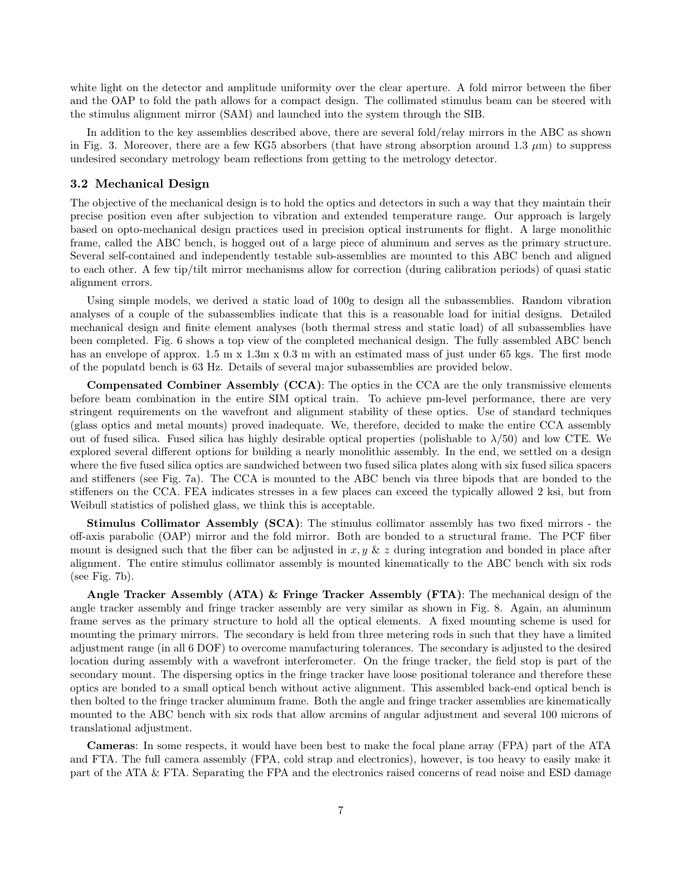white light on the detector and amplitude uniformity over the clear aperture. A fold mirror between the fiber and the OAP to fold the path allows for a compact design. The collimated stimulus beam can be steered with the stimulus alignment mirror (SAM) and launched into the system through the SIB.

In addition to the key assemblies described above, there are several fold/relay mirrors in the ABC as shown in Fig. 3. Moreover, there are a few KG5 absorbers (that have strong absorption around 1.3  $\mu$ m) to suppress undesired secondary metrology beam reflections from getting to the metrology detector.

#### 3.2 Mechanical Design

The objective of the mechanical design is to hold the optics and detectors in such a way that they maintain their precise position even after subjection to vibration and extended temperature range. Our approach is largely based on opto-mechanical design practices used in precision optical instruments for flight. A large monolithic frame, called the ABC bench, is hogged out of a large piece of aluminum and serves as the primary structure. Several self-contained and independently testable sub-assemblies are mounted to this ABC bench and aligned to each other. A few tip/tilt mirror mechanisms allow for correction (during calibration periods) of quasi static alignment errors.

Using simple models, we derived a static load of 100g to design all the subassemblies. Random vibration analyses of a couple of the subassemblies indicate that this is a reasonable load for initial designs. Detailed mechanical design and finite element analyses (both thermal stress and static load) of all subassemblies have been completed. Fig. 6 shows a top view of the completed mechanical design. The fully assembled ABC bench has an envelope of approx. 1.5 m x 1.3m x 0.3 m with an estimated mass of just under 65 kgs. The first mode of the populatd bench is 63 Hz. Details of several major subassemblies are provided below.

Compensated Combiner Assembly (CCA): The optics in the CCA are the only transmissive elements before beam combination in the entire SIM optical train. To achieve pm-level performance, there are very stringent requirements on the wavefront and alignment stability of these optics. Use of standard techniques (glass optics and metal mounts) proved inadequate. We, therefore, decided to make the entire CCA assembly out of fused silica. Fused silica has highly desirable optical properties (polishable to  $\lambda/50$ ) and low CTE. We explored several different options for building a nearly monolithic assembly. In the end, we settled on a design where the five fused silica optics are sandwiched between two fused silica plates along with six fused silica spacers and stiffeners (see Fig. 7a). The CCA is mounted to the ABC bench via three bipods that are bonded to the stiffeners on the CCA. FEA indicates stresses in a few places can exceed the typically allowed 2 ksi, but from Weibull statistics of polished glass, we think this is acceptable.

Stimulus Collimator Assembly (SCA): The stimulus collimator assembly has two fixed mirrors - the off-axis parabolic (OAP) mirror and the fold mirror. Both are bonded to a structural frame. The PCF fiber mount is designed such that the fiber can be adjusted in  $x, y \& z$  during integration and bonded in place after alignment. The entire stimulus collimator assembly is mounted kinematically to the ABC bench with six rods (see Fig. 7b).

Angle Tracker Assembly (ATA) & Fringe Tracker Assembly (FTA): The mechanical design of the angle tracker assembly and fringe tracker assembly are very similar as shown in Fig. 8. Again, an aluminum frame serves as the primary structure to hold all the optical elements. A fixed mounting scheme is used for mounting the primary mirrors. The secondary is held from three metering rods in such that they have a limited adjustment range (in all 6 DOF) to overcome manufacturing tolerances. The secondary is adjusted to the desired location during assembly with a wavefront interferometer. On the fringe tracker, the field stop is part of the secondary mount. The dispersing optics in the fringe tracker have loose positional tolerance and therefore these optics are bonded to a small optical bench without active alignment. This assembled back-end optical bench is then bolted to the fringe tracker aluminum frame. Both the angle and fringe tracker assemblies are kinematically mounted to the ABC bench with six rods that allow arcmins of angular adjustment and several 100 microns of translational adjustment.

Cameras: In some respects, it would have been best to make the focal plane array (FPA) part of the ATA and FTA. The full camera assembly (FPA, cold strap and electronics), however, is too heavy to easily make it part of the ATA & FTA. Separating the FPA and the electronics raised concerns of read noise and ESD damage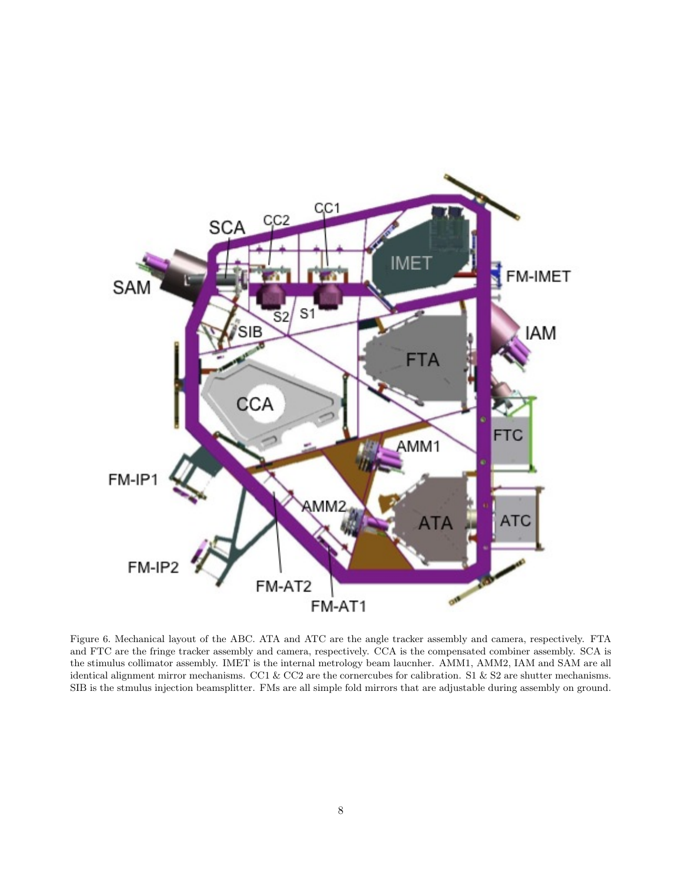

Figure 6. Mechanical layout of the ABC. ATA and ATC are the angle tracker assembly and camera, respectively. FTA and FTC are the fringe tracker assembly and camera, respectively. CCA is the compensated combiner assembly. SCA is the stimulus collimator assembly. IMET is the internal metrology beam laucnher. AMM1, AMM2, IAM and SAM are all identical alignment mirror mechanisms. CC1 & CC2 are the cornercubes for calibration. S1 & S2 are shutter mechanisms. SIB is the stmulus injection beamsplitter. FMs are all simple fold mirrors that are adjustable during assembly on ground.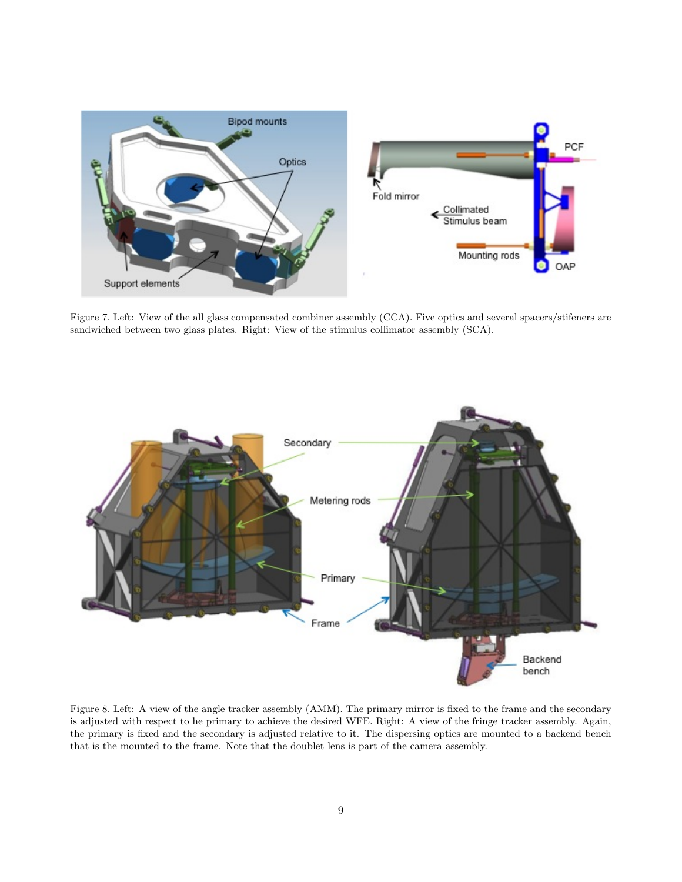

Figure 7. Left: View of the all glass compensated combiner assembly (CCA). Five optics and several spacers/stifeners are sandwiched between two glass plates. Right: View of the stimulus collimator assembly (SCA).



Figure 8. Left: A view of the angle tracker assembly (AMM). The primary mirror is fixed to the frame and the secondary is adjusted with respect to he primary to achieve the desired WFE. Right: A view of the fringe tracker assembly. Again, the primary is fixed and the secondary is adjusted relative to it. The dispersing optics are mounted to a backend bench that is the mounted to the frame. Note that the doublet lens is part of the camera assembly.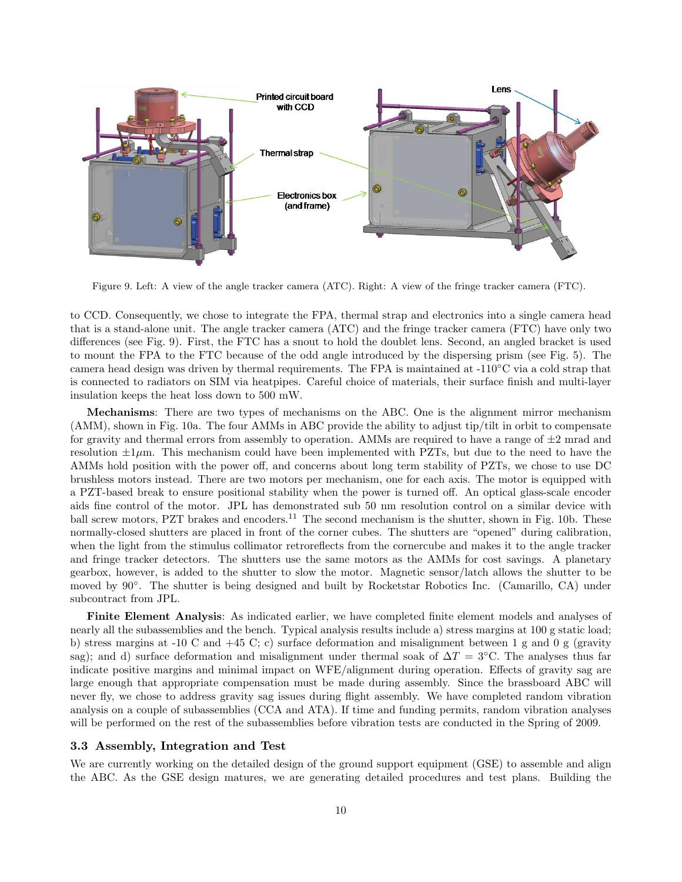

Figure 9. Left: A view of the angle tracker camera (ATC). Right: A view of the fringe tracker camera (FTC).

to CCD. Consequently, we chose to integrate the FPA, thermal strap and electronics into a single camera head that is a stand-alone unit. The angle tracker camera (ATC) and the fringe tracker camera (FTC) have only two differences (see Fig. 9). First, the FTC has a snout to hold the doublet lens. Second, an angled bracket is used to mount the FPA to the FTC because of the odd angle introduced by the dispersing prism (see Fig. 5). The camera head design was driven by thermal requirements. The FPA is maintained at -110◦C via a cold strap that is connected to radiators on SIM via heatpipes. Careful choice of materials, their surface finish and multi-layer insulation keeps the heat loss down to 500 mW.

Mechanisms: There are two types of mechanisms on the ABC. One is the alignment mirror mechanism (AMM), shown in Fig. 10a. The four AMMs in ABC provide the ability to adjust tip/tilt in orbit to compensate for gravity and thermal errors from assembly to operation. AMMs are required to have a range of  $\pm 2$  mrad and resolution  $\pm 1\mu$ m. This mechanism could have been implemented with PZTs, but due to the need to have the AMMs hold position with the power off, and concerns about long term stability of PZTs, we chose to use DC brushless motors instead. There are two motors per mechanism, one for each axis. The motor is equipped with a PZT-based break to ensure positional stability when the power is turned off. An optical glass-scale encoder aids fine control of the motor. JPL has demonstrated sub 50 nm resolution control on a similar device with ball screw motors, PZT brakes and encoders.<sup>11</sup> The second mechanism is the shutter, shown in Fig. 10b. These normally-closed shutters are placed in front of the corner cubes. The shutters are "opened" during calibration, when the light from the stimulus collimator retroreflects from the cornercube and makes it to the angle tracker and fringe tracker detectors. The shutters use the same motors as the AMMs for cost savings. A planetary gearbox, however, is added to the shutter to slow the motor. Magnetic sensor/latch allows the shutter to be moved by 90°. The shutter is being designed and built by Rocketstar Robotics Inc. (Camarillo, CA) under subcontract from JPL.

Finite Element Analysis: As indicated earlier, we have completed finite element models and analyses of nearly all the subassemblies and the bench. Typical analysis results include a) stress margins at 100 g static load; b) stress margins at -10 C and +45 C; c) surface deformation and misalignment between 1 g and 0 g (gravity sag); and d) surface deformation and misalignment under thermal soak of  $\Delta T = 3$ °C. The analyses thus far indicate positive margins and minimal impact on WFE/alignment during operation. Effects of gravity sag are large enough that appropriate compensation must be made during assembly. Since the brassboard ABC will never fly, we chose to address gravity sag issues during flight assembly. We have completed random vibration analysis on a couple of subassemblies (CCA and ATA). If time and funding permits, random vibration analyses will be performed on the rest of the subassemblies before vibration tests are conducted in the Spring of 2009.

### 3.3 Assembly, Integration and Test

We are currently working on the detailed design of the ground support equipment (GSE) to assemble and align the ABC. As the GSE design matures, we are generating detailed procedures and test plans. Building the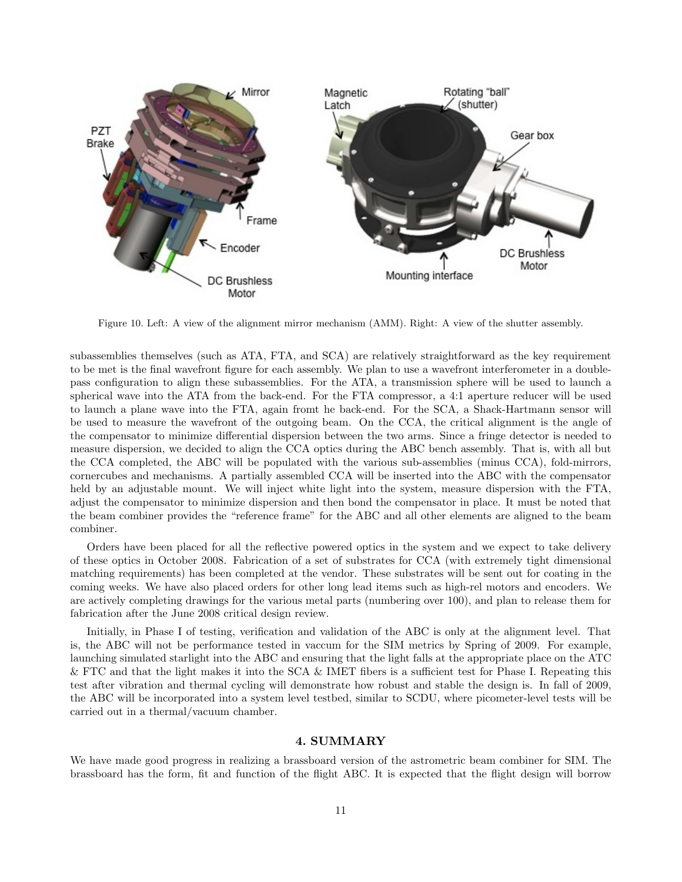

Figure 10. Left: A view of the alignment mirror mechanism (AMM). Right: A view of the shutter assembly.

subassemblies themselves (such as ATA, FTA, and SCA) are relatively straightforward as the key requirement to be met is the final wavefront figure for each assembly. We plan to use a wavefront interferometer in a doublepass configuration to align these subassemblies. For the ATA, a transmission sphere will be used to launch a spherical wave into the ATA from the back-end. For the FTA compressor, a 4:1 aperture reducer will be used to launch a plane wave into the FTA, again fromt he back-end. For the SCA, a Shack-Hartmann sensor will be used to measure the wavefront of the outgoing beam. On the CCA, the critical alignment is the angle of the compensator to minimize differential dispersion between the two arms. Since a fringe detector is needed to measure dispersion, we decided to align the CCA optics during the ABC bench assembly. That is, with all but the CCA completed, the ABC will be populated with the various sub-assemblies (minus CCA), fold-mirrors, cornercubes and mechanisms. A partially assembled CCA will be inserted into the ABC with the compensator held by an adjustable mount. We will inject white light into the system, measure dispersion with the FTA, adjust the compensator to minimize dispersion and then bond the compensator in place. It must be noted that the beam combiner provides the "reference frame" for the ABC and all other elements are aligned to the beam combiner.

Orders have been placed for all the reflective powered optics in the system and we expect to take delivery of these optics in October 2008. Fabrication of a set of substrates for CCA (with extremely tight dimensional matching requirements) has been completed at the vendor. These substrates will be sent out for coating in the coming weeks. We have also placed orders for other long lead items such as high-rel motors and encoders. We are actively completing drawings for the various metal parts (numbering over 100), and plan to release them for fabrication after the June 2008 critical design review.

Initially, in Phase I of testing, verification and validation of the ABC is only at the alignment level. That is, the ABC will not be performance tested in vaccum for the SIM metrics by Spring of 2009. For example, launching simulated starlight into the ABC and ensuring that the light falls at the appropriate place on the ATC & FTC and that the light makes it into the SCA & IMET fibers is a sufficient test for Phase I. Repeating this test after vibration and thermal cycling will demonstrate how robust and stable the design is. In fall of 2009, the ABC will be incorporated into a system level testbed, similar to SCDU, where picometer-level tests will be carried out in a thermal/vacuum chamber.

## 4. SUMMARY

We have made good progress in realizing a brassboard version of the astrometric beam combiner for SIM. The brassboard has the form, fit and function of the flight ABC. It is expected that the flight design will borrow